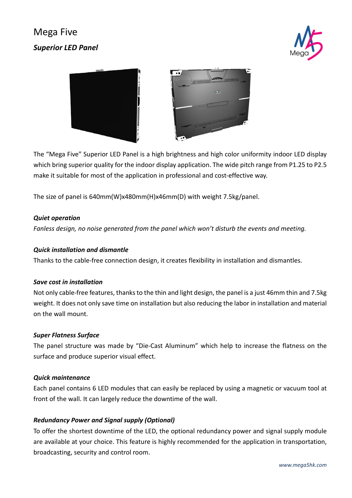# Mega Five *Superior LED Panel*





The "Mega Five" Superior LED Panel is a high brightness and high color uniformity indoor LED display which bring superior quality for the indoor display application. The wide pitch range from P1.25 to P2.5 make it suitable for most of the application in professional and cost-effective way.

The size of panel is 640mm(W)x480mm(H)x46mm(D) with weight 7.5kg/panel.

#### *Quiet operation*

*Fanless design, no noise generated from the panel which won't disturb the events and meeting.*

#### *Quick installation and dismantle*

Thanks to the cable-free connection design, it creates flexibility in installation and dismantles.

#### *Save cost in installation*

Not only cable-free features, thanks to the thin and light design, the panel is a just 46mm thin and 7.5kg weight. It does not only save time on installation but also reducing the labor in installation and material on the wall mount.

#### *Super Flatness Surface*

The panel structure was made by "Die-Cast Aluminum" which help to increase the flatness on the surface and produce superior visual effect.

#### *Quick maintenance*

Each panel contains 6 LED modules that can easily be replaced by using a magnetic or vacuum tool at front of the wall. It can largely reduce the downtime of the wall.

### *Redundancy Power and Signal supply (Optional)*

To offer the shortest downtime of the LED, the optional redundancy power and signal supply module are available at your choice. This feature is highly recommended for the application in transportation, broadcasting, security and control room.